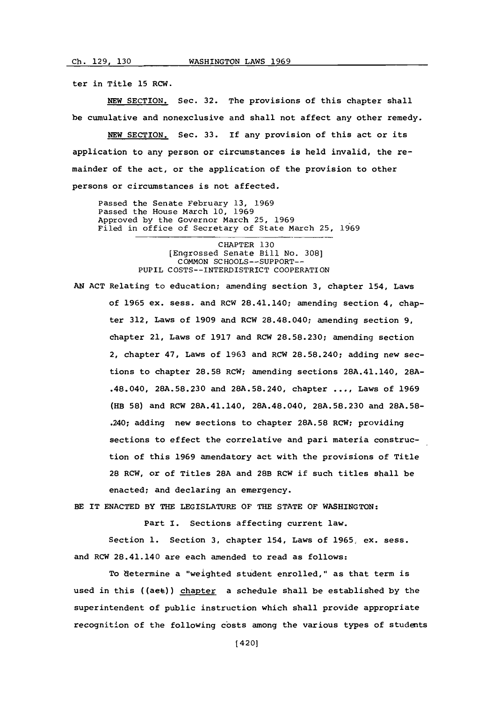ter in Title **15** RCW.

**NEW** SECTION. Sec. **32.** The provisions of this chapter shall be cumulative and nonexclusive and shall not affect any other remedy.

**NEW** SECTION. Sec. **33.** If any provision of this act or its application to any person or circumstances is held invalid, the remainder of the act, or the application of the provision to other persons or circumstances is not affected.

Passed the Senate February **13, 1969** Passed the House March **10, 1969** Approved **by** the Governor March **25, 1969** Filed in office of Secretary of State March **25, 1969**

> CHAPTER **130** [Engrossed Senate Bill No. **308] COMMON SCHOOLS--SUPPORT--** PUPIL COSTS--INTERDISTRICT COOPERATION

**AN ACT** Relating to education; amending section **3,** chapter 154, Laws of **1965** ex. sess. and RCW 28.41.140; amending section 4, chapter **312,** Laws of **1909** and RCW 28.48.040; amending section **9,** chapter 21, Laws of **1917** and RCW **28.58.230;** amending section 2, chapter 47, Laws of **1963** and RCW **28.58.240;** adding new sections to chapter **28.58** RCW; amending sections 28A.41.140, **28A-** .48.040, **28A.58.230** and **28A.58.240,** chapter **... ,** Laws of **1969** (HE **58)** and RCW 28A.41.140, 28A.48.040, **28A.58.230** and **28A.58-** .240; adding new sections to chapter **28A.58** RCW; providing sections to effect the correlative and pari materia construction of this **1969** amendatory act with the provisions of Title 28 RCW, or of Titles **28A** and 28B RCW if such titles shall be enacted; and declaring an emergency.

BE IT **ENACTED** BY THE LEGISLATURE OF THE **STATE** OF **WASHINGTON:**

Part **I.** Sections affecting current law.

Section **1.** Section **3,** chapter 154, Laws of **1965,** ex. sess. and RCW 28.41.140 are each amended to read as follows:

To determine a "weighted student enrolled," as that term is used in this ((aet)) chapter a schedule shall be established **by** the superintendent of public instruction which shall provide appropriate recognition of the following costs among the various types of students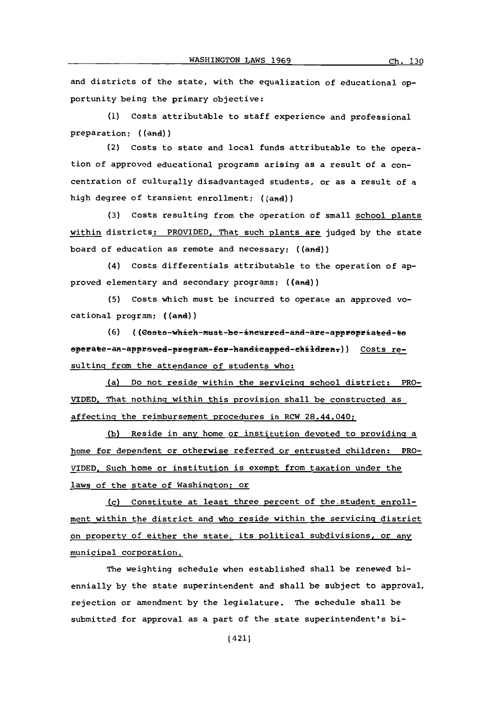and districts of the state, with the equalization of educational opportunity being the primary objective:

**(1)** Costs attributable to staff experience and professional preparation; ((and))

(2) costs to state and local funds attributable to the operation of approved educational programs arising as a result of a concentration of culturally disadvantaged students, or as a result of a high degree of transient enrollment; ((and))

**(3)** Costs resulting from the operation of small school plants within districts: PROVIDED, That such plants are judged **by** the state board of education as remote and necessary; ((and))

(4) Costs differentials attributable to the operation of approved elementary and secondary programs; ((and))

**(5)** Costs which must be incurred to operate an approved vocational program; ((and))

(6) (Costs-which-must-be-incurred-and-are-appropriated-to operate-an-approved-program-for-handicapped-childrenr)) Costs resulting from the attendance of students who:

(a) Do not reside within the servicing school district: PRO-VIDED. That nothing within this provision shall be constructed as affecting the reimbursement procedures in RCW 28.44.040;

**(b)** Reside in any home or institution devoted to providing a home for dependent or otherwise referred or entrusted children: PRO-VIDED. Such home or institution is exempt from taxation under the laws of the state of Washington; or

(c) Constitute at least three percent of the student enrollment within the district and who reside within the servicing district on property of either the state, its political subdivisions, or any municipal corporation.

The weighting schedule when established shall be renewed biennially **by** the state superintendent and shall be subject to approval. rejection or amendment **by** the legislature. The schedule shall be submitted for approval as a part of the state superintendent's bi-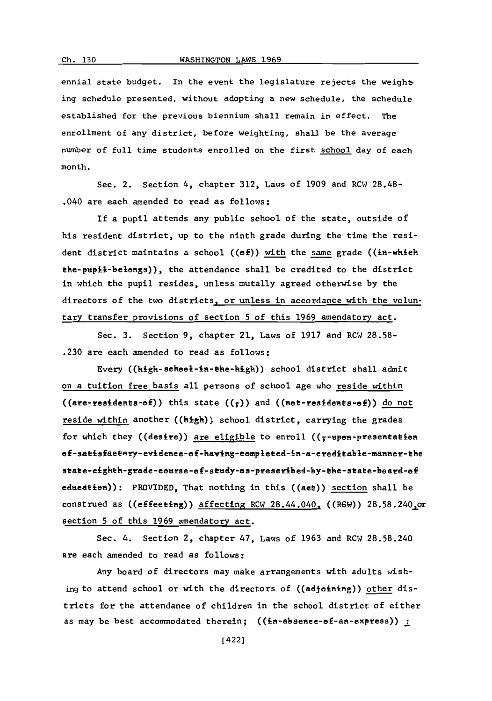ennial state budget. In the event the legislature rejects the weighting schedule presented, without adopting a new schedule, the schedule established for the previous biennium shall remain in effect. The enrollment of any district, before weighting, shall be the average number of full time students enrolled on the first school day of each month.

Sec. 2. Section 4, chapter **312,** Laws of **1909** and RCW **28.48-** .040 are each amended to read as follows:

**If** a pupil attends any public school of the state, outside of his resident district, up to the ninth grade during the time the resident district maintains a school ((ef)) with the same grade ((in-whieh the-pupil-belongs)), the attendance shall be credited to the district in which the pupil resides, unless mutally agreed otherwise **by** the directors of the two districts, or unless in accordance with the voluntary transfer provisions of section **5** of this **1969** amendatory act.

Sec. **3.** Section **9,** chapter 21, Laws of **1917** and RCW **28.58- .230** are each amended to read as follows:

Every ((kigk-sekoo1-im-tke-high)) school district shall admit on a tuition free basis all persons of school age who reside within  $((are-residents-of))$  this state  $((\frac{1}{2}))$  and  $((note-residents-of))$  do not reside within another ((high)) school district, carrying the grades for which they ((desire)) are eligible to enroll ( $\zeta$ -upon-presentation ef-satisfaetery-evidence-ef-having-completed-in-a-creditable-manner-the state-eighth-grade-eourse-of-study-as-preseribed-by-the-state-board-of edueatien)): PROVIDED, That nothing in this ((aet)) section shall be construed as ((effeeting)) affecting RCW 28.44.040, ((RGW)) **28.58.240** or section **5** of this **1969** amendatory act.

Sec. 4. Section 2, chapter 47, Laws of **1963** and RCW **28.58.240** are each amended to read as follows:

Any board of directors may make arrangements with adults wishing to attend school or with the directors of ((adjoining)) other districts for the attendance of children in the school district of either as may be best accommodated therein;  $((in-absence-of-an-express))$ :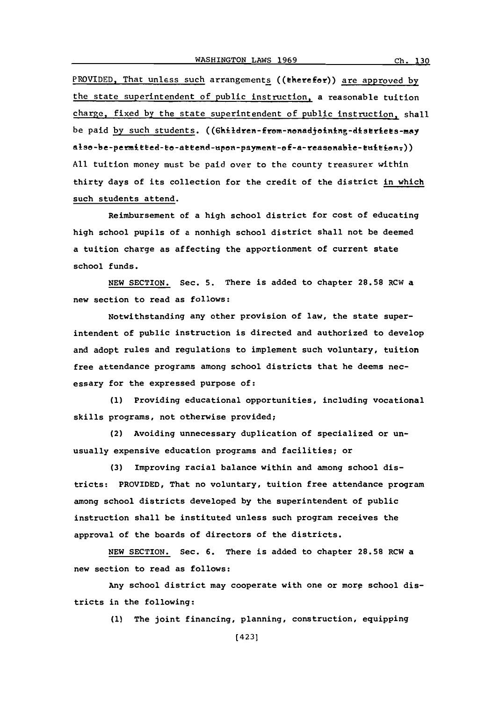PROVIDED. That unless such arrangements ((eherefar)) are approved **by** the state superintendent of public instruction, a reasonable tuition charge, fixed **by** the state superintendent **of** public instruction, shall be paid **by** such students. also-be-permitted-to-attend-upon-payment-of-a-reasonable-tuition,)) **All** tuition money must be paid over to the county treasurer within thirty days of its collection for the credit of the district in which such students attend.

Reimbursement of a high school district for cost of educating high school pupils of a nonhigh school district shall not be deemed a tuition charge as affecting the apportionment of current state school funds.

**NEW SECTION.** Sec. **5.** There is added to chapter **28.58** RCW a new section to read as follows:

Notwithstanding any other provision of law, the state superintendent of public instruction is directed and authorized to develop and adopt rules and regulations to implement such voluntary, tuition free attendance programs among school districts that he deems necessary for the expressed purpose of:

**(1)** Providing educational opportunities, including vocational skills programs, not otherwise provided;

(2) Avoiding unnecessary duplication of specialized or unusually expensive education programs and facilities; or

**(3)** Improving racial balance within and among school districts: PROVIDED, That no voluntary, tuition free attendance program among school districts developed **by** the superintendent of public instruction shall be instituted unless such program receives the approval of the boards of directors of the districts.

**NEW** SECTION. Sec. **6.** There is added to chapter **28.58** RCW a new section to read as follows:

Any school district may cooperate with one or morp school districts in the following:

**(1)** The joint financing, planning, construction, equipping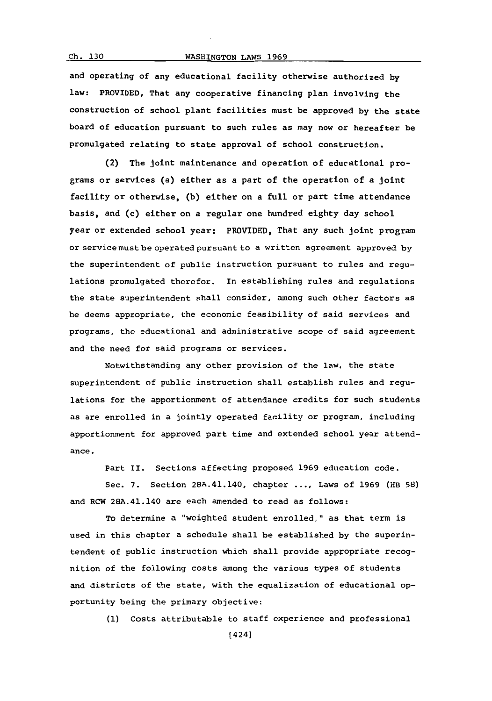## WASHINGTON LAWS 1969

 $Ch. 130$ 

and operating of any educational facility otherwise authorized **by** law: PROVIDED, That any cooperative financing plan involving the construction of school plant facilities must be approved **by** the state board of education pursuant to such rules as may now or hereafter be promulgated relating to state approval of school construction.

(2) The joint maintenance and operation of educational programs or services (a) either as a part of the operation of a joint facility or otherwise, **(b)** either on a full or part tlime attendance basis, and (c) either on a regular one hundred eighty day school year or extended school year: PROVIDED, That any such joint program or service must be operated pursuant to a written agreement approved **by** the superintendent of public instruction pursuant to rules and regulations promulgated therefor. In establishing rules and regulations the state superintendent shall consider, among such other factors as he deems appropriate, the economic feasibility of said services and programs, the educational and administrative scope of said agreement and the need for said programs or services.

Notwithstanding any other provision of the law, the state superintendent of public instruction shall establish rules and regulations for the apportionment of attendance credits for such students as are enrolled in a jointly operated facility or program, including apportionment for approved part time and extended school year attendance.

Part II. Sections affecting proposed **1969** education code.

Sec. **7.** Section 28A.41.140, chapter **... ,** Laws of **1969** (HB **58)** and RCW 28A.41.140 are each amended to read as follows:

To determine a "weighted student enrolled," as that term is used in this chapter a schedule shall be established **by** the superintendent of public instruction which shall provide appropriate recognition of the following costs among the various types of students and districts of the state, with the equalization of educational opportunity being the primary objective:

**(1)** Costs attributable to staff experience and professional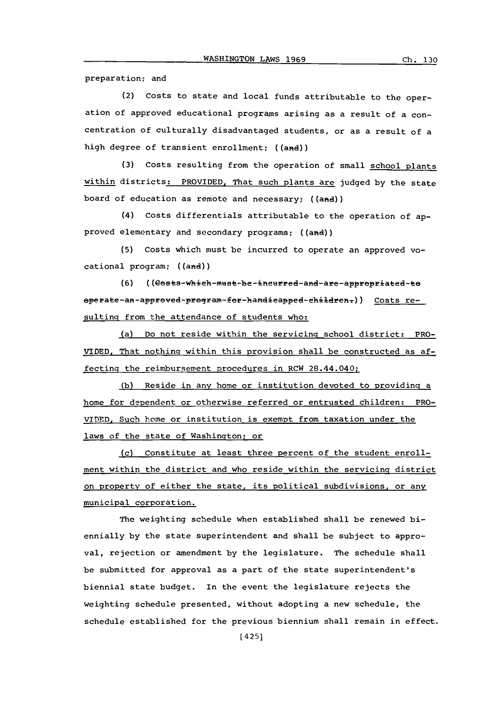preparation; and

(2) Costs to state and local funds attributable to the operation of approved educational programs arising as a result of a concentration of culturally disadvantaged students, or as a result of a high degree of transient enrollment; ((and))

**(3)** costs resulting from the operation of small school.plants within districts: PROVIDED. That such Rlants are judged **by** the state board of education as remote and necessary; ((and))

(4) Costs differentials attributable to the operation of approved elementary and secondary programs; ((and))

**(5)** Costs which must be incurred to operate an approved vocational program; ((and))

**(6)** ((Cests-which-must-be-incurred-and-are-apprepriated-te eperate-an-appreved-pregram-fer-handicapped-children-)) Costs resulting from the attendance of students who:

la) Do not reside within the servicing school district: PRO-VIDED. That nothing within this provision shall be constructed as affecting the reimbursement procedures in RCW 28.44.040;

**(b)** Reside in any home or institution devoted to providing a home for dependent or otherwise referred or entrusted children: PRO-VIDED. Such home or institution is exempt from taxation under the laws of the state of Washington; or

(c) Constitute at least three percent of the student enrollment within the district and who reside within the servicing district on property of either the state, its political subdivisions, or any municipal corporation.

The weighting schedule when established shall be renewed biennially **by** the state superintendent and shall be subject to approval, rejection or amendment **by** the legislature. The schedule shall be submitted for approval as a part of the state superintendent's biennial state budget. In the event the legislature rejects the weighting schedule presented, without adopting a new schedule, the schedule established for the previous biennium shall remain in effect.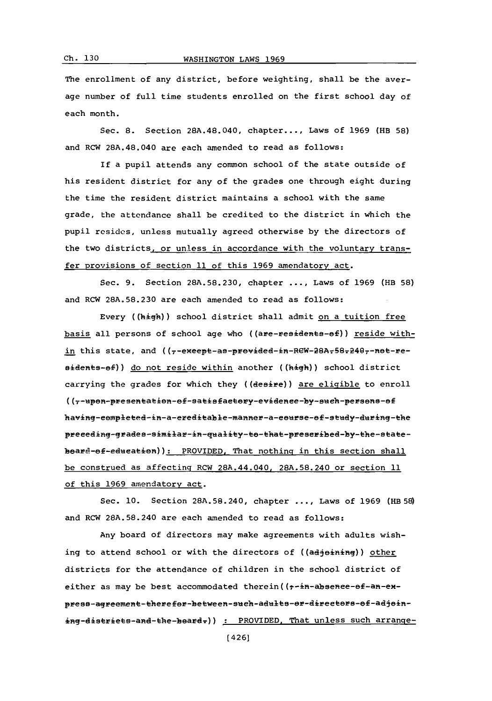## WASHINGTON LAWS 1969

The enrollment of any district, before weighting, shall be the average number of full time students enrolled on the first school day of each month.

Sec. **8.** Section 28A.48.040, chapter.... Laws of **1969** (HB **58)** and RCW 28A.48.040 are each amended to read as follows:

If a pupil attends any common school of the state outside of his resident district for any of the grades one through eight during the time the resident district maintains a school with the same grade, the attendance shall be credited to the district in which the pupil resides, unless mutually agreed otherwise **by** the directors of the two districts, or unless in accordance with the voluntary transfer provisions of section **11** of this **1969** amendatory act.

Sec. **9.** Section **28A.58.230,** chapter **....** Laws of **1969** (RB **58)** and RCW **28A.58.230** are each amended to read as follows:

Every ((high)) school district shall admit on a tuition free basis all persons of school age who ((are-residents-of)) reside within this state, and ((7-exeept-as-previded-in-REW-28A-58-2407-net-residents-ef)) do not reside within another ((high)) school district carrying the grades for which they ((desire)) are eligible to enroll ((7-upon-presentation-of-satisfactory-evidence-by-such-persons-of having-completed-in-a-ereditable-manner-a-course-of-study-during-the preceding-grades-similar-in-quality-to-that-prescribed-by-the-statebeare-ef-edueatien)): PROVIDED. That nothing in this section shall be construed as affecting RCW 28A.44.040. **28A.58.240** or section **11** of this 1969 amendatory act.

Sec. **10.** Section **28A.58.240,** chapter **....** Laws of **1969 (RB 58)** and RCW **28A.58.240** are each amended to read as follows:

Any board of directors may make agreements with adults wishing to attend school or with the directors of ((adjoining)) other districts for the attendance of children in the school district of either as may be best accommodated therein  $((f-i)^2 + (f-i)^2)$  -  $f$ press-agreement-therefor-between-such-adults-or-directors-of-adjoining-districts-and-the-beard-)) : PROVIDED. That unless such arrange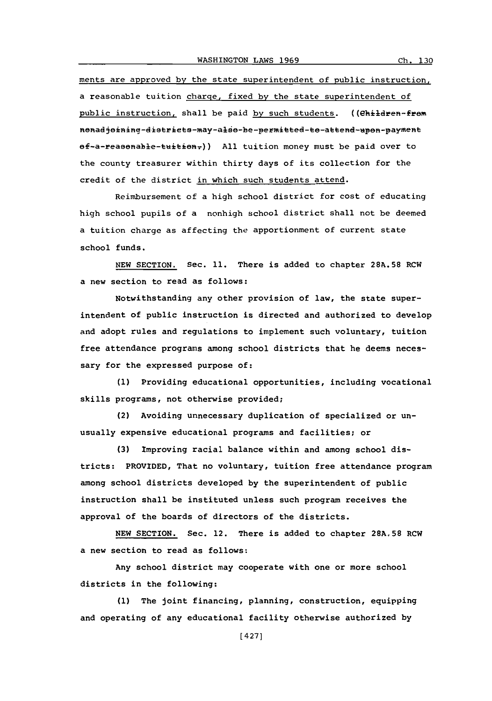ments are approved **by** the state superintendent of public instruction, a reasonable tuition charge, fixed **by** the state superintendent of public instruction, shall be paid by such students. ((ehildren-frem nonadjoining-districts-may-also-be-permitted-to-attend-upon-payment  $ef-a-rea$ <sup>g</sup>ealerable-tuition;) All tuition money must be paid over to the county treasurer within thirty days of its collection for the credit of the district in which such students attend.

Reimbursement of a high school district for cost of educating high school pupils of a nonhigh school district shall not be deemed a tuition charge as affecting the apportionment of current state school funds.

**NEW** SECTION. Sec. **11.** There is added to chapter **28A.58** RCW a new section to read as follows:

Notwithstanding any other provision **of** law, the state superintendent of public instruction is directed and authorized to develop and adopt rules and regulations to implement such voluntary, tuition free attendance programs among school districts that he deems necessary for the expressed purpose of:

**(1)** Providing educational opportunities, including vocational skills programs, not otherwise provided;

(2) Avoiding unnecessary duplication of specialized or unusually expensive educational programs and facilities; or

**(3)** Improving racial balance within and among school districts: PROVIDED, That no voluntary, tuition free attendance program among school districts developed **by** the superintendent of public instruction shall be instituted unless such program receives the approval of the boards of directors of the districts.

**NEW** SECTION. Sec. 12. There is added to chapter **28A.58** RCW a new section to read as follows:

Any school district may cooperate with one or more school districts in the following:

**(1)** The joint financing, planning, construction, equipping and operating of any educational facility otherwise authorized **by**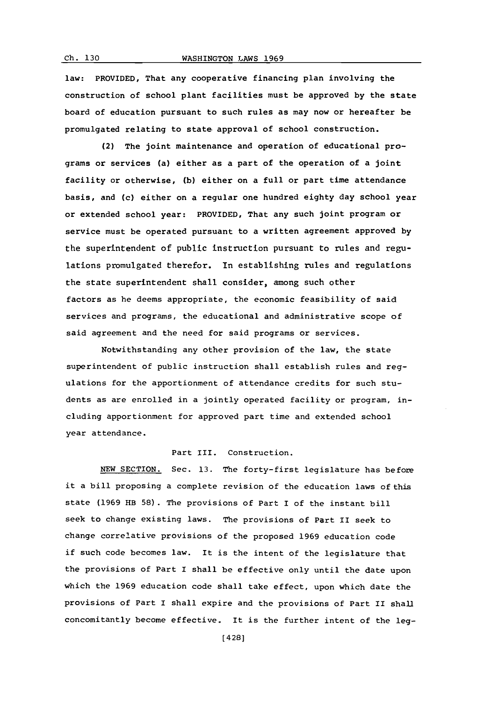law: PROVIDED, That any cooperative financing plan involving the construction of school plant facilities must be approved **by** the state board of education pursuant to such rules as may now or hereafter be promulgated relating to state approval of school construction.

(2) The joint maintenance and operation of educational programs or services (a) either as a part of the operation of a joint facility or otherwise, **(b)** either on a full or part time attendance basis, and (c) either on a regular one hundred eighty day school year or extended school year: PROVIDED, That any such joint program or service must be operated pursuant to a written agreement approved **by** the superintendent of public instruction pursuant to rules and regulations promulgated therefor. In establishing rules and regulations the state superintendent shall consider, among such other factors as he deems appropriate, the economic feasibility of said services and programs, the educational and administrative scope of said agreement and the need for said programs or services.

Notwithstanding any other provision of the law, the state superintendent of public instruction shall establish rules and regulations for the apportionment of attendance credits for such students as are enrolled in a jointly operated facility or program, including apportionment for approved part time and extended school year attendance.

## Part III. Construction.

**NEW** SECTION. Sec. **13.** The forty-first legislature has before it a bill proposing a complete revision of the education laws of this state **(1969** HB **58).** The provisions of Part I of the instant bill seek to change existing laws. The provisions of Part II seek to change correlative provisions of the proposed **1969** education code if such code becomes law. it is the intent of the legislature that the provisions of Part I shall be effective only until the date upon which the **1969** education code shall take effect, upon which date the provisions of Part I shall expire and the provisions of Part II shall concomitantly become effective. It is the further intent of the leg-